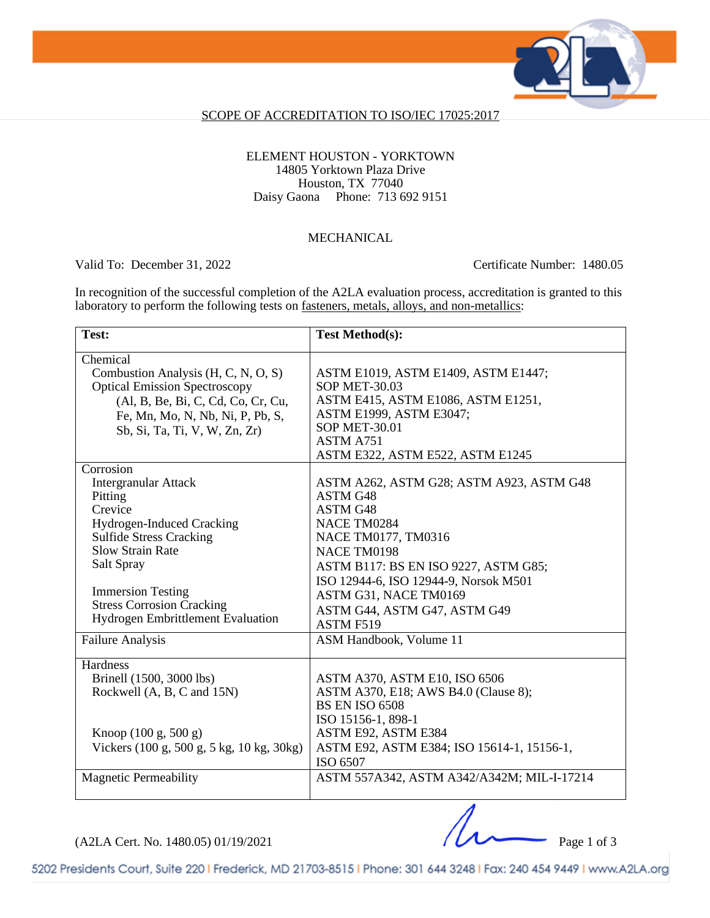

### SCOPE OF ACCREDITATION TO ISO/IEC 17025:2017

### ELEMENT HOUSTON - YORKTOWN 14805 Yorktown Plaza Drive Houston, TX 77040 Daisy Gaona Phone: 713 692 9151

#### **MECHANICAL**

Valid To: December 31, 2022 Certificate Number: 1480.05

In recognition of the successful completion of the A2LA evaluation process, accreditation is granted to this laboratory to perform the following tests on <u>fasteners, metals, alloys</u>, and non-metallics:

| Test:                                                                                                                                                                                                                                  | <b>Test Method(s):</b>                                                                                                                                                                                                          |
|----------------------------------------------------------------------------------------------------------------------------------------------------------------------------------------------------------------------------------------|---------------------------------------------------------------------------------------------------------------------------------------------------------------------------------------------------------------------------------|
| Chemical<br>Combustion Analysis (H, C, N, O, S)<br><b>Optical Emission Spectroscopy</b><br>(Al, B, Be, Bi, C, Cd, Co, Cr, Cu,<br>Fe, Mn, Mo, N, Nb, Ni, P, Pb, S,<br>Sb, Si, Ta, Ti, V, W, Zn, Zr)                                     | ASTM E1019, ASTM E1409, ASTM E1447;<br><b>SOP MET-30.03</b><br>ASTM E415, ASTM E1086, ASTM E1251,<br>ASTM E1999, ASTM E3047;<br><b>SOP MET-30.01</b><br>ASTM A751<br>ASTM E322, ASTM E522, ASTM E1245                           |
| Corrosion<br><b>Intergranular Attack</b><br>Pitting<br>Crevice<br>Hydrogen-Induced Cracking<br><b>Sulfide Stress Cracking</b><br><b>Slow Strain Rate</b><br>Salt Spray<br><b>Immersion Testing</b><br><b>Stress Corrosion Cracking</b> | ASTM A262, ASTM G28; ASTM A923, ASTM G48<br>ASTM G48<br>ASTM G48<br>NACE TM0284<br>NACE TM0177, TM0316<br>NACE TM0198<br>ASTM B117: BS EN ISO 9227, ASTM G85;<br>ISO 12944-6, ISO 12944-9, Norsok M501<br>ASTM G31, NACE TM0169 |
| Hydrogen Embrittlement Evaluation                                                                                                                                                                                                      | ASTM G44, ASTM G47, ASTM G49<br>ASTM F519                                                                                                                                                                                       |
| <b>Failure Analysis</b>                                                                                                                                                                                                                | ASM Handbook, Volume 11                                                                                                                                                                                                         |
| Hardness<br>Brinell (1500, 3000 lbs)<br>Rockwell (A, B, C and 15N)                                                                                                                                                                     | ASTM A370, ASTM E10, ISO 6506<br>ASTM A370, E18; AWS B4.0 (Clause 8);<br><b>BS EN ISO 6508</b><br>ISO 15156-1, 898-1                                                                                                            |
| Knoop $(100 \text{ g}, 500 \text{ g})$<br>Vickers (100 g, 500 g, 5 kg, 10 kg, 30kg)                                                                                                                                                    | ASTM E92, ASTM E384<br>ASTM E92, ASTM E384; ISO 15614-1, 15156-1,<br>ISO 6507                                                                                                                                                   |
| <b>Magnetic Permeability</b>                                                                                                                                                                                                           | ASTM 557A342, ASTM A342/A342M; MIL-I-17214                                                                                                                                                                                      |

(A2LA Cert. No. 1480.05) 01/19/2021 Page 1 of 3

5202 Presidents Court, Suite 220 | Frederick, MD 21703-8515 | Phone: 301 644 3248 | Fax: 240 454 9449 | www.A2LA.org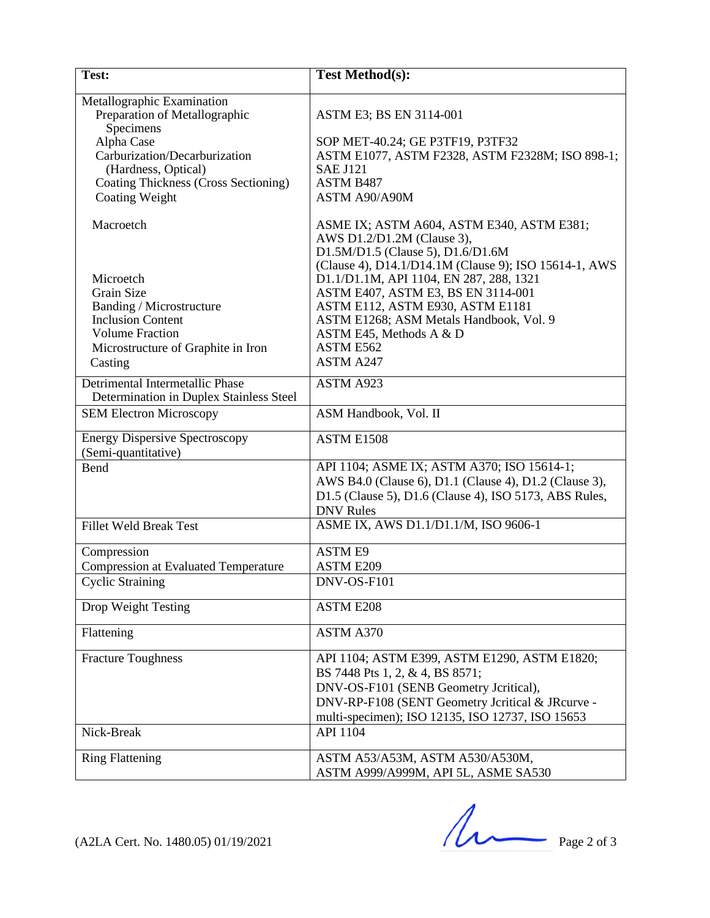| Test:                                                                                                                                                                                                                  | <b>Test Method(s):</b>                                                                                                                                                                                                                                                                                                                                                                            |
|------------------------------------------------------------------------------------------------------------------------------------------------------------------------------------------------------------------------|---------------------------------------------------------------------------------------------------------------------------------------------------------------------------------------------------------------------------------------------------------------------------------------------------------------------------------------------------------------------------------------------------|
| Metallographic Examination<br>Preparation of Metallographic<br>Specimens<br>Alpha Case<br>Carburization/Decarburization<br>(Hardness, Optical)<br><b>Coating Thickness (Cross Sectioning)</b><br><b>Coating Weight</b> | ASTM E3; BS EN 3114-001<br>SOP MET-40.24; GE P3TF19, P3TF32<br>ASTM E1077, ASTM F2328, ASTM F2328M; ISO 898-1;<br><b>SAE J121</b><br><b>ASTM B487</b><br>ASTM A90/A90M                                                                                                                                                                                                                            |
| Macroetch<br>Microetch<br>Grain Size<br>Banding / Microstructure<br><b>Inclusion Content</b><br><b>Volume Fraction</b><br>Microstructure of Graphite in Iron<br>Casting                                                | ASME IX; ASTM A604, ASTM E340, ASTM E381;<br>AWS D1.2/D1.2M (Clause 3),<br>D1.5M/D1.5 (Clause 5), D1.6/D1.6M<br>(Clause 4), D14.1/D14.1M (Clause 9); ISO 15614-1, AWS<br>D1.1/D1.1M, API 1104, EN 287, 288, 1321<br>ASTM E407, ASTM E3, BS EN 3114-001<br>ASTM E112, ASTM E930, ASTM E1181<br>ASTM E1268; ASM Metals Handbook, Vol. 9<br>ASTM E45, Methods A & D<br>ASTM E562<br><b>ASTM A247</b> |
| Detrimental Intermetallic Phase<br>Determination in Duplex Stainless Steel                                                                                                                                             | ASTM A923                                                                                                                                                                                                                                                                                                                                                                                         |
| <b>SEM Electron Microscopy</b>                                                                                                                                                                                         | ASM Handbook, Vol. II                                                                                                                                                                                                                                                                                                                                                                             |
| <b>Energy Dispersive Spectroscopy</b><br>(Semi-quantitative)                                                                                                                                                           | ASTM E1508                                                                                                                                                                                                                                                                                                                                                                                        |
| Bend                                                                                                                                                                                                                   | API 1104; ASME IX; ASTM A370; ISO 15614-1;<br>AWS B4.0 (Clause 6), D1.1 (Clause 4), D1.2 (Clause 3),<br>D1.5 (Clause 5), D1.6 (Clause 4), ISO 5173, ABS Rules,<br><b>DNV</b> Rules                                                                                                                                                                                                                |
| <b>Fillet Weld Break Test</b>                                                                                                                                                                                          | ASME IX, AWS D1.1/D1.1/M, ISO 9606-1                                                                                                                                                                                                                                                                                                                                                              |
| Compression<br><b>Compression at Evaluated Temperature</b>                                                                                                                                                             | <b>ASTM E9</b><br><b>ASTM E209</b>                                                                                                                                                                                                                                                                                                                                                                |
| <b>Cyclic Straining</b>                                                                                                                                                                                                | DNV-OS-F101                                                                                                                                                                                                                                                                                                                                                                                       |
| Drop Weight Testing                                                                                                                                                                                                    | <b>ASTM E208</b>                                                                                                                                                                                                                                                                                                                                                                                  |
| Flattening                                                                                                                                                                                                             | ASTM A370                                                                                                                                                                                                                                                                                                                                                                                         |
| <b>Fracture Toughness</b>                                                                                                                                                                                              | API 1104; ASTM E399, ASTM E1290, ASTM E1820;<br>BS 7448 Pts 1, 2, & 4, BS 8571;<br>DNV-OS-F101 (SENB Geometry Jcritical),<br>DNV-RP-F108 (SENT Geometry Jcritical & JRcurve -<br>multi-specimen); ISO 12135, ISO 12737, ISO 15653                                                                                                                                                                 |
| Nick-Break                                                                                                                                                                                                             | API 1104                                                                                                                                                                                                                                                                                                                                                                                          |
| <b>Ring Flattening</b>                                                                                                                                                                                                 | ASTM A53/A53M, ASTM A530/A530M,<br>ASTM A999/A999M, API 5L, ASME SA530                                                                                                                                                                                                                                                                                                                            |

 $(A2LA$  Cert. No. 1480.05) 01/19/2021 Page 2 of 3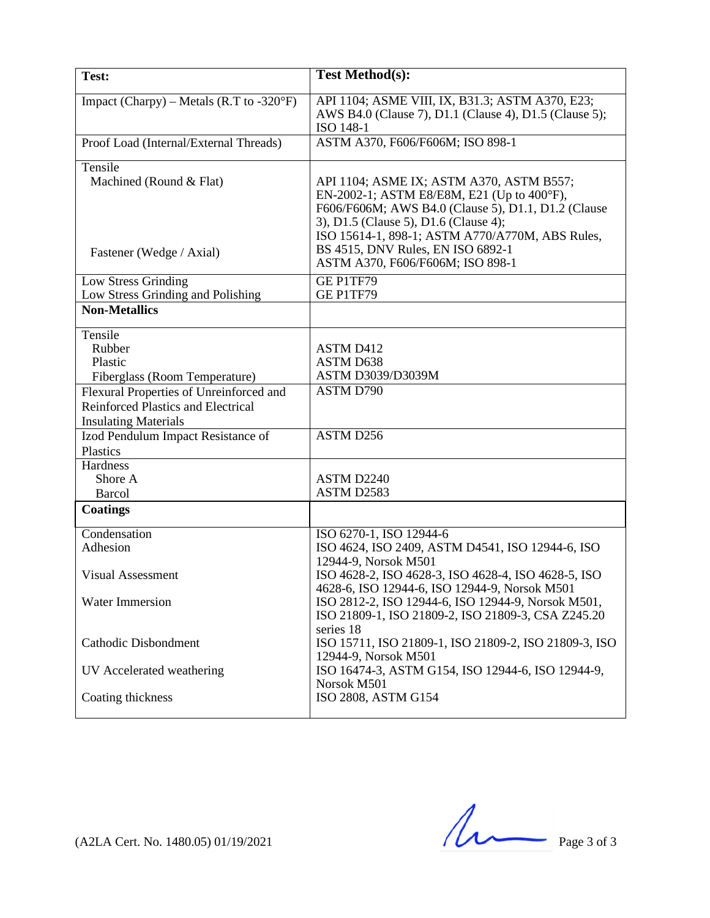| Test:                                                     | <b>Test Method(s):</b>                                                                               |
|-----------------------------------------------------------|------------------------------------------------------------------------------------------------------|
|                                                           |                                                                                                      |
| Impact (Charpy) – Metals (R.T to $-320^{\circ}F$ )        | API 1104; ASME VIII, IX, B31.3; ASTM A370, E23;                                                      |
|                                                           | AWS B4.0 (Clause 7), D1.1 (Clause 4), D1.5 (Clause 5);                                               |
|                                                           | ISO 148-1                                                                                            |
| Proof Load (Internal/External Threads)                    | ASTM A370, F606/F606M; ISO 898-1                                                                     |
| Tensile                                                   |                                                                                                      |
| Machined (Round & Flat)                                   | API 1104; ASME IX; ASTM A370, ASTM B557;                                                             |
|                                                           | EN-2002-1; ASTM E8/E8M, E21 (Up to 400°F),                                                           |
|                                                           | F606/F606M; AWS B4.0 (Clause 5), D1.1, D1.2 (Clause                                                  |
|                                                           | 3), D1.5 (Clause 5), D1.6 (Clause 4);                                                                |
|                                                           | ISO 15614-1, 898-1; ASTM A770/A770M, ABS Rules,                                                      |
| Fastener (Wedge / Axial)                                  | BS 4515, DNV Rules, EN ISO 6892-1<br>ASTM A370, F606/F606M; ISO 898-1                                |
|                                                           |                                                                                                      |
| Low Stress Grinding                                       | GE P1TF79                                                                                            |
| Low Stress Grinding and Polishing<br><b>Non-Metallics</b> | GE P1TF79                                                                                            |
|                                                           |                                                                                                      |
| Tensile                                                   |                                                                                                      |
| Rubber                                                    | ASTM D412                                                                                            |
| Plastic                                                   | ASTM D638                                                                                            |
| Fiberglass (Room Temperature)                             | ASTM D3039/D3039M                                                                                    |
| Flexural Properties of Unreinforced and                   | ASTM D790                                                                                            |
| Reinforced Plastics and Electrical                        |                                                                                                      |
| <b>Insulating Materials</b>                               | ASTM D256                                                                                            |
| Izod Pendulum Impact Resistance of<br>Plastics            |                                                                                                      |
| Hardness                                                  |                                                                                                      |
| Shore A                                                   | ASTM D2240                                                                                           |
| <b>Barcol</b>                                             | ASTM D2583                                                                                           |
| <b>Coatings</b>                                           |                                                                                                      |
|                                                           |                                                                                                      |
| Condensation                                              | ISO 6270-1, ISO 12944-6                                                                              |
| Adhesion                                                  | ISO 4624, ISO 2409, ASTM D4541, ISO 12944-6, ISO                                                     |
|                                                           | 12944-9, Norsok M501                                                                                 |
| <b>Visual Assessment</b>                                  | ISO 4628-2, ISO 4628-3, ISO 4628-4, ISO 4628-5, ISO<br>4628-6, ISO 12944-6, ISO 12944-9, Norsok M501 |
| <b>Water Immersion</b>                                    | ISO 2812-2, ISO 12944-6, ISO 12944-9, Norsok M501,                                                   |
|                                                           | ISO 21809-1, ISO 21809-2, ISO 21809-3, CSA Z245.20                                                   |
|                                                           | series 18                                                                                            |
| <b>Cathodic Disbondment</b>                               | ISO 15711, ISO 21809-1, ISO 21809-2, ISO 21809-3, ISO                                                |
|                                                           | 12944-9, Norsok M501                                                                                 |
| UV Accelerated weathering                                 | ISO 16474-3, ASTM G154, ISO 12944-6, ISO 12944-9,                                                    |
|                                                           | Norsok M501                                                                                          |
| Coating thickness                                         | ISO 2808, ASTM G154                                                                                  |
|                                                           |                                                                                                      |

 $(A2LA$  Cert. No. 1480.05) 01/19/2021 Page 3 of 3